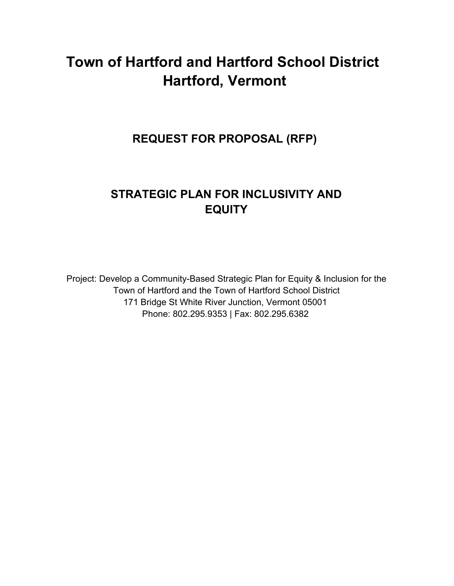# **Town of Hartford and Hartford School District Hartford, Vermont**

**REQUEST FOR PROPOSAL (RFP)** 

## **STRATEGIC PLAN FOR INCLUSIVITY AND EQUITY**

Project: Develop a Community-Based Strategic Plan for Equity & Inclusion for the Town of Hartford and the Town of Hartford School District 171 Bridge St White River Junction, Vermont 05001 Phone: 802.295.9353 | Fax: 802.295.6382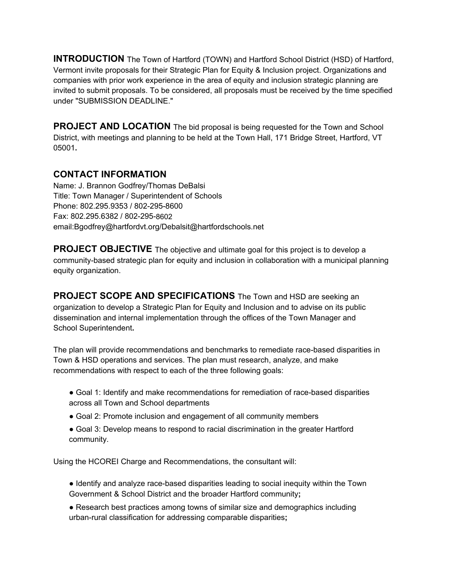**INTRODUCTION** The Town of Hartford (TOWN) and Hartford School District (HSD) of Hartford, Vermont invite proposals for their Strategic Plan for Equity & Inclusion project. Organizations and companies with prior work experience in the area of equity and inclusion strategic planning are invited to submit proposals. To be considered, all proposals must be received by the time specified under "SUBMISSION DEADLINE."

**PROJECT AND LOCATION** The bid proposal is being requested for the Town and School District, with meetings and planning to be held at the Town Hall, 171 Bridge Street, Hartford, VT 05001**.**

### **CONTACT INFORMATION**

Name: J. Brannon Godfrey/Thomas DeBalsi Title: Town Manager / Superintendent of Schools Phone: 802.295.9353 / 802-295-8600 Fax: 802.295.6382 / 802-295-8602 email:Bgodfrey@hartfordvt.org/Debalsit@hartfordschools.net

**PROJECT OBJECTIVE** The objective and ultimate goal for this project is to develop a community-based strategic plan for equity and inclusion in collaboration with a municipal planning equity organization.

**PROJECT SCOPE AND SPECIFICATIONS** The Town and HSD are seeking an organization to develop a Strategic Plan for Equity and Inclusion and to advise on its public dissemination and internal implementation through the offices of the Town Manager and School Superintendent**.** 

The plan will provide recommendations and benchmarks to remediate race-based disparities in Town & HSD operations and services. The plan must research, analyze, and make recommendations with respect to each of the three following goals:

- Goal 1: Identify and make recommendations for remediation of race-based disparities across all Town and School departments
- Goal 2: Promote inclusion and engagement of all community members
- Goal 3: Develop means to respond to racial discrimination in the greater Hartford community.

Using the HCOREI Charge and Recommendations, the consultant will:

- Identify and analyze race-based disparities leading to social inequity within the Town Government & School District and the broader Hartford community**;**
- Research best practices among towns of similar size and demographics including urban-rural classification for addressing comparable disparities**;**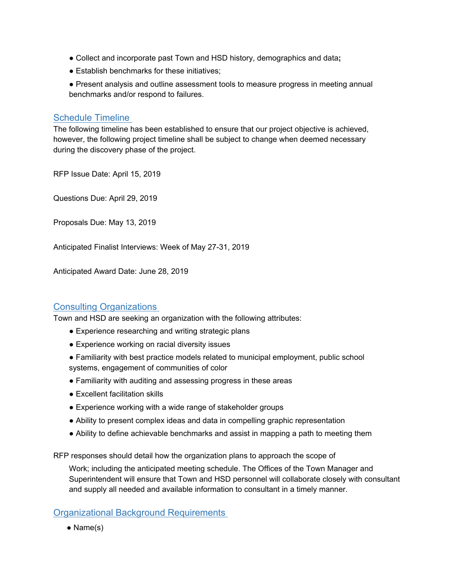- Collect and incorporate past Town and HSD history, demographics and data**;**
- Establish benchmarks for these initiatives;
- Present analysis and outline assessment tools to measure progress in meeting annual benchmarks and/or respond to failures.

#### Schedule Timeline

The following timeline has been established to ensure that our project objective is achieved, however, the following project timeline shall be subject to change when deemed necessary during the discovery phase of the project.

RFP Issue Date: April 15, 2019

Questions Due: April 29, 2019

Proposals Due: May 13, 2019

Anticipated Finalist Interviews: Week of May 27-31, 2019

Anticipated Award Date: June 28, 2019

#### Consulting Organizations

Town and HSD are seeking an organization with the following attributes:

- Experience researching and writing strategic plans
- Experience working on racial diversity issues
- Familiarity with best practice models related to municipal employment, public school systems, engagement of communities of color
- Familiarity with auditing and assessing progress in these areas
- Excellent facilitation skills
- Experience working with a wide range of stakeholder groups
- Ability to present complex ideas and data in compelling graphic representation
- Ability to define achievable benchmarks and assist in mapping a path to meeting them

RFP responses should detail how the organization plans to approach the scope of

Work; including the anticipated meeting schedule. The Offices of the Town Manager and Superintendent will ensure that Town and HSD personnel will collaborate closely with consultant and supply all needed and available information to consultant in a timely manner.

#### Organizational Background Requirements

• Name(s)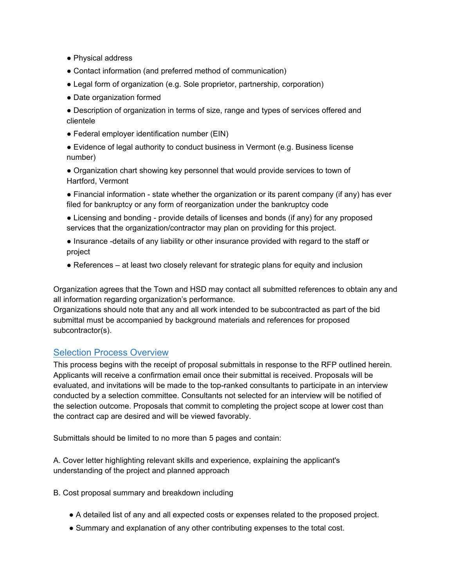- Physical address
- Contact information (and preferred method of communication)
- Legal form of organization (e.g. Sole proprietor, partnership, corporation)
- Date organization formed

• Description of organization in terms of size, range and types of services offered and clientele

● Federal employer identification number (EIN)

● Evidence of legal authority to conduct business in Vermont (e.g. Business license number)

● Organization chart showing key personnel that would provide services to town of Hartford, Vermont

• Financial information - state whether the organization or its parent company (if any) has ever filed for bankruptcy or any form of reorganization under the bankruptcy code

- Licensing and bonding provide details of licenses and bonds (if any) for any proposed services that the organization/contractor may plan on providing for this project.
- Insurance -details of any liability or other insurance provided with regard to the staff or project
- References at least two closely relevant for strategic plans for equity and inclusion

Organization agrees that the Town and HSD may contact all submitted references to obtain any and all information regarding organization's performance.

Organizations should note that any and all work intended to be subcontracted as part of the bid submittal must be accompanied by background materials and references for proposed subcontractor(s).

#### Selection Process Overview

This process begins with the receipt of proposal submittals in response to the RFP outlined herein. Applicants will receive a confirmation email once their submittal is received. Proposals will be evaluated, and invitations will be made to the top-ranked consultants to participate in an interview conducted by a selection committee. Consultants not selected for an interview will be notified of the selection outcome. Proposals that commit to completing the project scope at lower cost than the contract cap are desired and will be viewed favorably.

Submittals should be limited to no more than 5 pages and contain:

A. Cover letter highlighting relevant skills and experience, explaining the applicant's understanding of the project and planned approach

B. Cost proposal summary and breakdown including

- A detailed list of any and all expected costs or expenses related to the proposed project.
- Summary and explanation of any other contributing expenses to the total cost.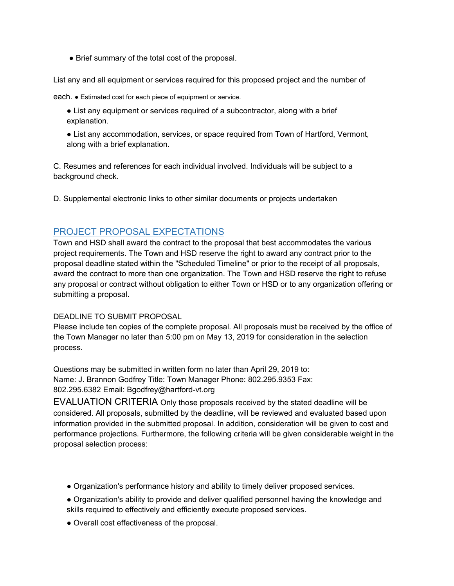• Brief summary of the total cost of the proposal.

List any and all equipment or services required for this proposed project and the number of

each. ● Estimated cost for each piece of equipment or service.

- List any equipment or services required of a subcontractor, along with a brief explanation.
- List any accommodation, services, or space required from Town of Hartford, Vermont, along with a brief explanation.

C. Resumes and references for each individual involved. Individuals will be subject to a background check.

D. Supplemental electronic links to other similar documents or projects undertaken

### PROJECT PROPOSAL EXPECTATIONS

Town and HSD shall award the contract to the proposal that best accommodates the various project requirements. The Town and HSD reserve the right to award any contract prior to the proposal deadline stated within the "Scheduled Timeline" or prior to the receipt of all proposals, award the contract to more than one organization. The Town and HSD reserve the right to refuse any proposal or contract without obligation to either Town or HSD or to any organization offering or submitting a proposal.

#### DEADLINE TO SUBMIT PROPOSAL

Please include ten copies of the complete proposal. All proposals must be received by the office of the Town Manager no later than 5:00 pm on May 13, 2019 for consideration in the selection process.

Questions may be submitted in written form no later than April 29, 2019 to: Name: J. Brannon Godfrey Title: Town Manager Phone: 802.295.9353 Fax: 802.295.6382 Email: Bgodfrey@hartford-vt.org

EVALUATION CRITERIA Only those proposals received by the stated deadline will be considered. All proposals, submitted by the deadline, will be reviewed and evaluated based upon information provided in the submitted proposal. In addition, consideration will be given to cost and performance projections. Furthermore, the following criteria will be given considerable weight in the proposal selection process:

- Organization's performance history and ability to timely deliver proposed services.
- Organization's ability to provide and deliver qualified personnel having the knowledge and skills required to effectively and efficiently execute proposed services.
- Overall cost effectiveness of the proposal.